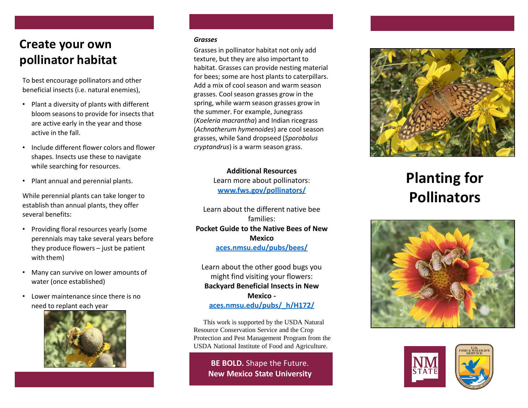## **Create your own pollinator habitat**

To best encourage pollinators and other beneficial insects (i.e. natural enemies),

- Plant a diversity of plants with different bloom seasons to provide for insects that are active early in the year and those active in the fall.
- Include different flower colors and flower shapes. Insects use these to navigate while searching for resources.
- Plant annual and perennial plants.

While perennial plants can take longer to establish than annual plants, they offer several benefits:

- Providing floral resources yearly (some perennials may take several years before they produce flowers – just be patient with them)
- Many can survive on lower amounts of water (once established)
- Lower maintenance since there is no need to replant each year



## *Grasses*

Grasses in pollinator habitat not only add texture, but they are also important to habitat. Grasses can provide nesting material for bees; some are host plants to caterpillars. Add a mix of cool season and warm season grasses. Cool season grasses grow in the spring, while warm season grasses grow in the summer. For example, Junegrass (*Koeleria macrantha*) and Indian ricegrass (*Achnatherum hymenoides*) are cool season grasses, while Sand dropseed (*Sporobolus cryptandrus*) is a warm season grass.

> **Additional Resources** Learn more about pollinators: **[www.fws.gov/pollinators](http://www.fws.gov/pollinators/) /**

Learn about the different native bee families: **Pocket Guide to the Native Bees of New Mexico [aces.nmsu.edu/pubs/bees/](https://aces.nmsu.edu/pubs/bees/)**

Learn about the other good bugs you might find visiting your flowers: **Backyard Beneficial Insects in New Mexico [aces.nmsu.edu/pubs/\\_h/H172/](https://aces.nmsu.edu/pubs/_h/H172/welcome.html)**

This work is supported by the USDA Natural Resource Conservation Service and the Crop Protection and Pest Management Program from the USDA National Institute of Food and Agriculture.

**BE BOLD.** Shape the Future. **New Mexico State University**



## **Planting for Pollinators**